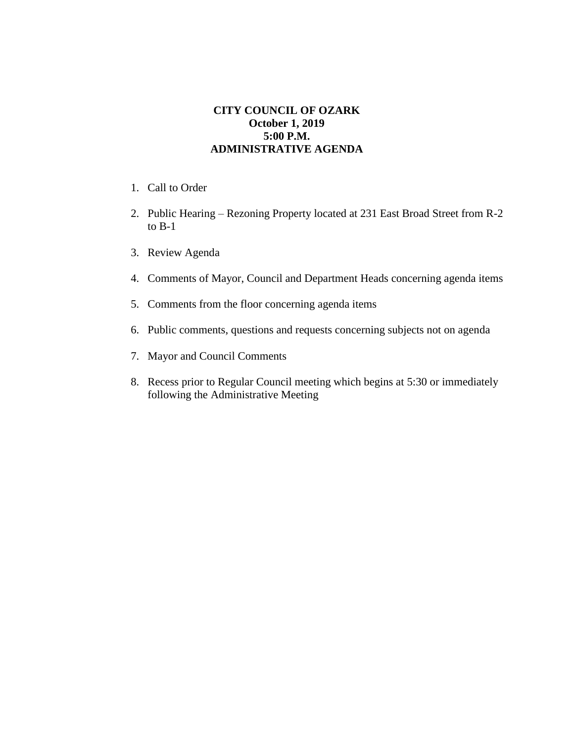## **CITY COUNCIL OF OZARK October 1, 2019 5:00 P.M. ADMINISTRATIVE AGENDA**

- 1. Call to Order
- 2. Public Hearing Rezoning Property located at 231 East Broad Street from R-2 to B-1
- 3. Review Agenda
- 4. Comments of Mayor, Council and Department Heads concerning agenda items
- 5. Comments from the floor concerning agenda items
- 6. Public comments, questions and requests concerning subjects not on agenda
- 7. Mayor and Council Comments
- 8. Recess prior to Regular Council meeting which begins at 5:30 or immediately following the Administrative Meeting